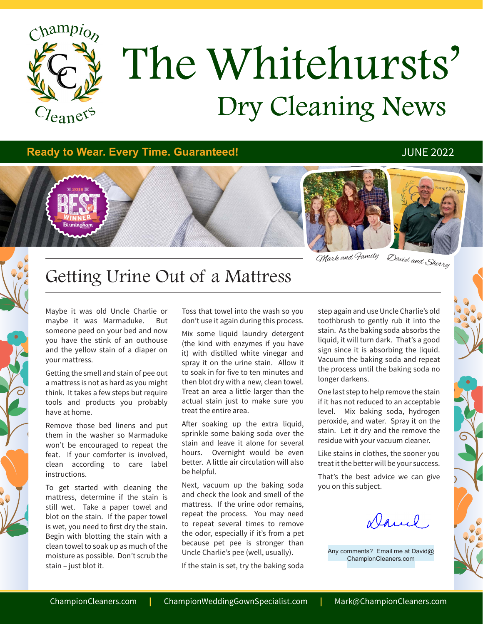

# Dry Cleaning News The Whitehursts'

### **Ready to Wear. Every Time. Guaranteed!** All reading the state of the state of the state of the state of the state of the state of the state of the state of the state of the state of the state of the state of the state of



David and Sherry Mark and Family

### Getting Urine Out of a Mattress

Maybe it was old Uncle Charlie or maybe it was Marmaduke. But someone peed on your bed and now you have the stink of an outhouse and the yellow stain of a diaper on your mattress.

Getting the smell and stain of pee out a mattress is not as hard as you might think. It takes a few steps but require tools and products you probably have at home.

Remove those bed linens and put them in the washer so Marmaduke won't be encouraged to repeat the feat. If your comforter is involved, clean according to care label instructions.

To get started with cleaning the mattress, determine if the stain is still wet. Take a paper towel and blot on the stain. If the paper towel is wet, you need to first dry the stain. Begin with blotting the stain with a clean towel to soak up as much of the moisture as possible. Don't scrub the stain – just blot it.

Toss that towel into the wash so you don't use it again during this process.

Mix some liquid laundry detergent (the kind with enzymes if you have it) with distilled white vinegar and spray it on the urine stain. Allow it to soak in for five to ten minutes and then blot dry with a new, clean towel. Treat an area a little larger than the actual stain just to make sure you treat the entire area.

After soaking up the extra liquid, sprinkle some baking soda over the stain and leave it alone for several hours. Overnight would be even better. A little air circulation will also be helpful.

Next, vacuum up the baking soda and check the look and smell of the mattress. If the urine odor remains, repeat the process. You may need to repeat several times to remove the odor, especially if it's from a pet because pet pee is stronger than Uncle Charlie's pee (well, usually).

If the stain is set, try the baking soda

step again and use Uncle Charlie's old toothbrush to gently rub it into the stain. As the baking soda absorbs the liquid, it will turn dark. That's a good sign since it is absorbing the liquid. Vacuum the baking soda and repeat the process until the baking soda no longer darkens.

One last step to help remove the stain if it has not reduced to an acceptable level. Mix baking soda, hydrogen peroxide, and water. Spray it on the stain. Let it dry and the remove the residue with your vacuum cleaner.

Like stains in clothes, the sooner you treat it the better will be your success.

That's the best advice we can give you on this subject.

Daniel

Any comments? Email me at David@ ChampionCleaners.com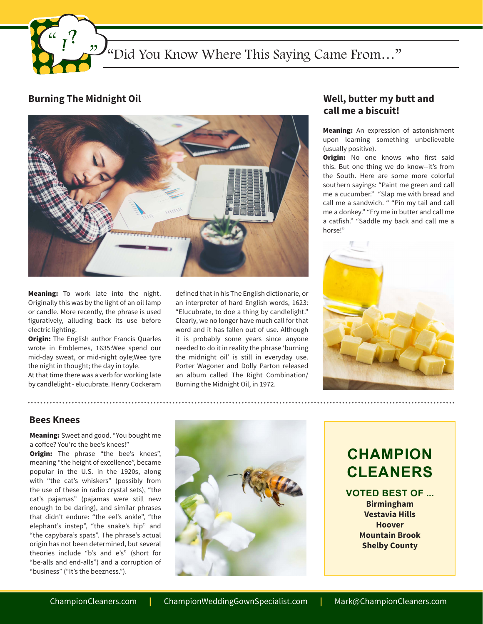

#### **Burning The Midnight Oil**



Meaning: To work late into the night. Originally this was by the light of an oil lamp or candle. More recently, the phrase is used figuratively, alluding back its use before electric lighting.

**Origin:** The English author Francis Quarles wrote in Emblemes, 1635:Wee spend our mid-day sweat, or mid-night oyle;Wee tyre the night in thought; the day in toyle.

At that time there was a verb for working late by candlelight - elucubrate. Henry Cockeram

defined that in his The English dictionarie, or an interpreter of hard English words, 1623: "Elucubrate, to doe a thing by candlelight." Clearly, we no longer have much call for that word and it has fallen out of use. Although it is probably some years since anyone needed to do it in reality the phrase 'burning the midnight oil' is still in everyday use. Porter Wagoner and Dolly Parton released an album called The Right Combination/ Burning the Midnight Oil, in 1972.

### **Well, butter my butt and call me a biscuit!**

Meaning: An expression of astonishment upon learning something unbelievable (usually positive).

**Origin:** No one knows who first said this. But one thing we do know--it's from the South. Here are some more colorful southern sayings: "Paint me green and call me a cucumber." "Slap me with bread and call me a sandwich. " "Pin my tail and call me a donkey." "Fry me in butter and call me a catfish." "Saddle my back and call me a horse!"



#### **Bees Knees**

Meaning: Sweet and good. "You bought me a coffee? You're the bee's knees!"

**Origin:** The phrase "the bee's knees", meaning "the height of excellence", became popular in the U.S. in the 1920s, along with "the cat's whiskers" (possibly from the use of these in radio crystal sets), "the cat's pajamas" (pajamas were still new enough to be daring), and similar phrases that didn't endure: "the eel's ankle", "the elephant's instep", "the snake's hip" and "the capybara's spats". The phrase's actual origin has not been determined, but several theories include "b's and e's" (short for "be-alls and end-alls") and a corruption of "business" ("It's the beezness.").



### **CHAMPION CLEANERS**

**VOTED BEST OF ... Birmingham Vestavia Hills Hoover Mountain Brook Shelby County**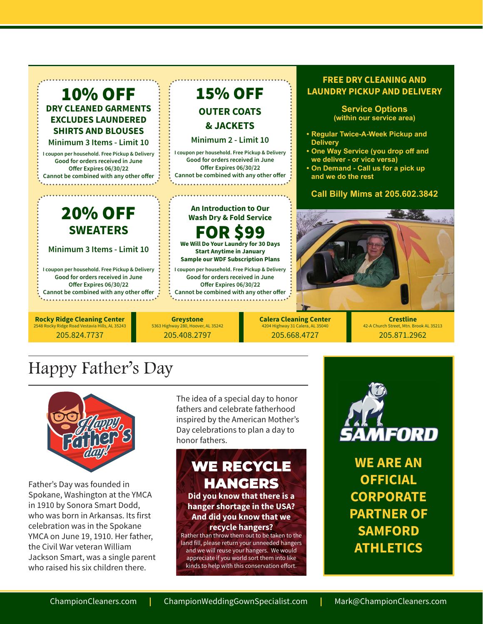

## Happy Father's Day



Father's Day was founded in Spokane, Washington at the YMCA in 1910 by Sonora Smart Dodd, who was born in Arkansas. Its first celebration was in the Spokane YMCA on June 19, 1910. Her father, the Civil War veteran William Jackson Smart, was a single parent who raised his six children there.

The idea of a special day to honor fathers and celebrate fatherhood inspired by the American Mother's Day celebrations to plan a day to honor fathers.

### WE RECYCLE HANGERS

**Did you know that there is a hanger shortage in the USA? And did you know that we recycle hangers?** 

Rather than throw them out to be taken to the land fill, please return your unneeded hangers and we will reuse your hangers. We would appreciate if you world sort them into like kinds to help with this conservation effort.



**WE ARE AN OFFICIAL CORPORATE PARTNER OF SAMFORD ATHLETICS**